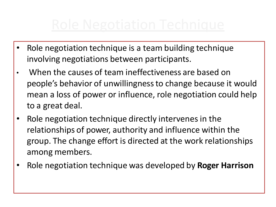- Role negotiation technique is a team building technique involving negotiations between participants.
- When the causes of team ineffectiveness are based on people's behavior of unwillingness to change because it would mean a loss of power or influence, role negotiation could help to a great deal.
- Role negotiation technique directly intervenes in the relationships of power, authority and influence within the group. The change effort is directed at the work relationships among members.
- Role negotiation technique was developed by **Roger Harrison**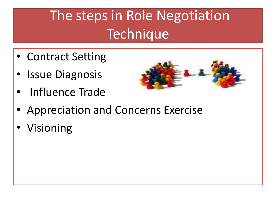# The steps in Role Negotiation **Technique**

- Contract Setting
- **Issue Diagnosis**
- Influence Trade



- Appreciation and Concerns Exercise
- **Visioning**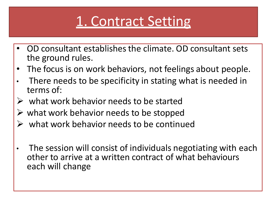## 1. Contract Setting

- OD consultant establishes the climate. OD consultant sets the ground rules.
- The focus is on work behaviors, not feelings about people.
- There needs to be specificity in stating what is needed in terms of:
- $\triangleright$  what work behavior needs to be started
- $\triangleright$  what work behavior needs to be stopped
- $\triangleright$  what work behavior needs to be continued
- The session will consist of individuals negotiating with each other to arrive at a written contract of what behaviours each will change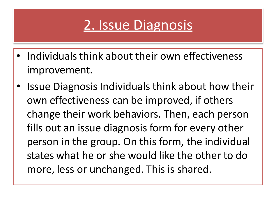### 2. Issue Diagnosis

- Individuals think about their own effectiveness improvement.
- Issue Diagnosis Individuals think about how their own effectiveness can be improved, if others change their work behaviors. Then, each person fills out an issue diagnosis form for every other person in the group. On this form, the individual states what he or she would like the other to do more, less or unchanged. This is shared.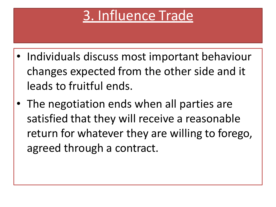#### 3. Influence Trade

- Individuals discuss most important behaviour changes expected from the other side and it leads to fruitful ends.
- The negotiation ends when all parties are satisfied that they will receive a reasonable return for whatever they are willing to forego, agreed through a contract.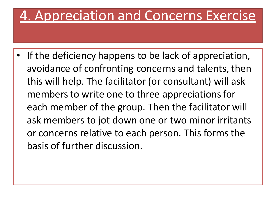#### 4. Appreciation and Concerns Exercise

If the deficiency happens to be lack of appreciation, avoidance of confronting concerns and talents, then this will help. The facilitator (or consultant) will ask members to write one to three appreciations for each member of the group. Then the facilitator will ask members to jot down one or two minor irritants or concerns relative to each person. This forms the basis of further discussion.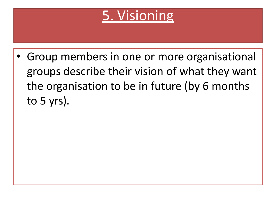

• Group members in one or more organisational groups describe their vision of what they want the organisation to be in future (by 6 months to 5 yrs).